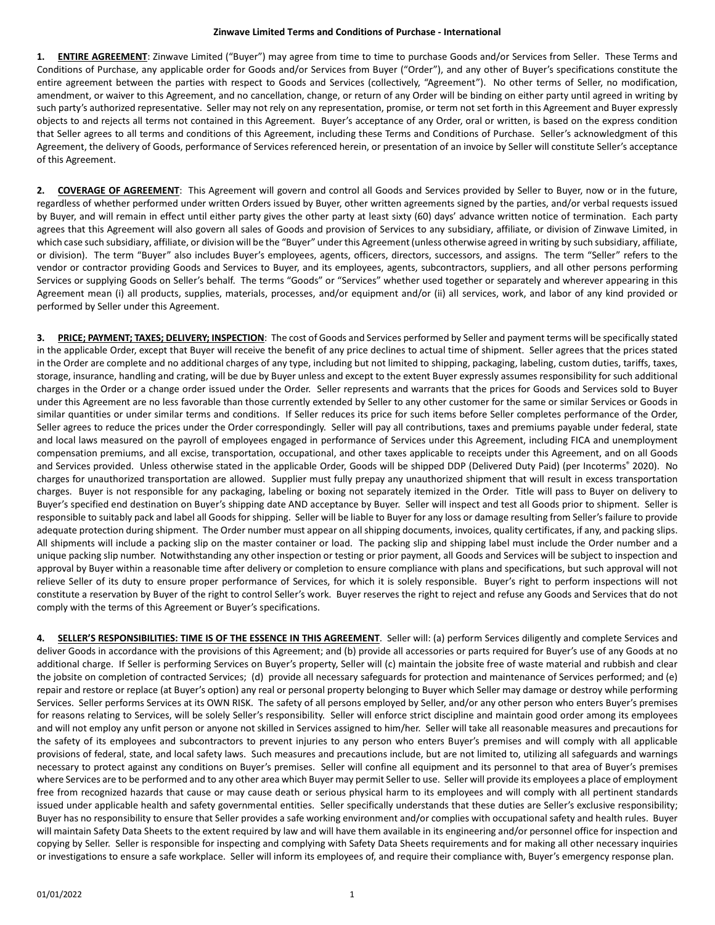**1. ENTIRE AGREEMENT**: Zinwave Limited ("Buyer") may agree from time to time to purchase Goods and/or Services from Seller. These Terms and Conditions of Purchase, any applicable order for Goods and/or Services from Buyer ("Order"), and any other of Buyer's specifications constitute the entire agreement between the parties with respect to Goods and Services (collectively, "Agreement"). No other terms of Seller, no modification, amendment, or waiver to this Agreement, and no cancellation, change, or return of any Order will be binding on either party until agreed in writing by such party's authorized representative. Seller may not rely on any representation, promise, or term not set forth in this Agreement and Buyer expressly objects to and rejects all terms not contained in this Agreement. Buyer's acceptance of any Order, oral or written, is based on the express condition that Seller agrees to all terms and conditions of this Agreement, including these Terms and Conditions of Purchase. Seller's acknowledgment of this Agreement, the delivery of Goods, performance of Services referenced herein, or presentation of an invoice by Seller will constitute Seller's acceptance of this Agreement.

**2. COVERAGE OF AGREEMENT**: This Agreement will govern and control all Goods and Services provided by Seller to Buyer, now or in the future, regardless of whether performed under written Orders issued by Buyer, other written agreements signed by the parties, and/or verbal requests issued by Buyer, and will remain in effect until either party gives the other party at least sixty (60) days' advance written notice of termination. Each party agrees that this Agreement will also govern all sales of Goods and provision of Services to any subsidiary, affiliate, or division of Zinwave Limited, in which case such subsidiary, affiliate, or division will be the "Buyer" under this Agreement (unless otherwise agreed in writing by such subsidiary, affiliate, or division). The term "Buyer" also includes Buyer's employees, agents, officers, directors, successors, and assigns. The term "Seller" refers to the vendor or contractor providing Goods and Services to Buyer, and its employees, agents, subcontractors, suppliers, and all other persons performing Services or supplying Goods on Seller's behalf. The terms "Goods" or "Services" whether used together or separately and wherever appearing in this Agreement mean (i) all products, supplies, materials, processes, and/or equipment and/or (ii) all services, work, and labor of any kind provided or performed by Seller under this Agreement.

**3. PRICE; PAYMENT; TAXES; DELIVERY; INSPECTION**: The cost of Goods and Services performed by Seller and payment terms will be specifically stated in the applicable Order, except that Buyer will receive the benefit of any price declines to actual time of shipment. Seller agrees that the prices stated in the Order are complete and no additional charges of any type, including but not limited to shipping, packaging, labeling, custom duties, tariffs, taxes, storage, insurance, handling and crating, will be due by Buyer unless and except to the extent Buyer expressly assumes responsibility for such additional charges in the Order or a change order issued under the Order. Seller represents and warrants that the prices for Goods and Services sold to Buyer under this Agreement are no less favorable than those currently extended by Seller to any other customer for the same or similar Services or Goods in similar quantities or under similar terms and conditions. If Seller reduces its price for such items before Seller completes performance of the Order, Seller agrees to reduce the prices under the Order correspondingly. Seller will pay all contributions, taxes and premiums payable under federal, state and local laws measured on the payroll of employees engaged in performance of Services under this Agreement, including FICA and unemployment compensation premiums, and all excise, transportation, occupational, and other taxes applicable to receipts under this Agreement, and on all Goods and Services provided. Unless otherwise stated in the applicable Order, Goods will be shipped DDP (Delivered Duty Paid) (per Incoterms® 2020). No charges for unauthorized transportation are allowed. Supplier must fully prepay any unauthorized shipment that will result in excess transportation charges. Buyer is not responsible for any packaging, labeling or boxing not separately itemized in the Order. Title will pass to Buyer on delivery to Buyer's specified end destination on Buyer's shipping date AND acceptance by Buyer. Seller will inspect and test all Goods prior to shipment. Seller is responsible to suitably pack and label all Goods for shipping. Seller will be liable to Buyer for any loss or damage resulting from Seller's failure to provide adequate protection during shipment. The Order number must appear on all shipping documents, invoices, quality certificates, if any, and packing slips. All shipments will include a packing slip on the master container or load. The packing slip and shipping label must include the Order number and a unique packing slip number. Notwithstanding any other inspection or testing or prior payment, all Goods and Services will be subject to inspection and approval by Buyer within a reasonable time after delivery or completion to ensure compliance with plans and specifications, but such approval will not relieve Seller of its duty to ensure proper performance of Services, for which it is solely responsible. Buyer's right to perform inspections will not constitute a reservation by Buyer of the right to control Seller's work. Buyer reserves the right to reject and refuse any Goods and Services that do not comply with the terms of this Agreement or Buyer's specifications.

**4. SELLER'S RESPONSIBILITIES: TIME IS OF THE ESSENCE IN THIS AGREEMENT**. Seller will: (a) perform Services diligently and complete Services and deliver Goods in accordance with the provisions of this Agreement; and (b) provide all accessories or parts required for Buyer's use of any Goods at no additional charge. If Seller is performing Services on Buyer's property, Seller will (c) maintain the jobsite free of waste material and rubbish and clear the jobsite on completion of contracted Services; (d) provide all necessary safeguards for protection and maintenance of Services performed; and (e) repair and restore or replace (at Buyer's option) any real or personal property belonging to Buyer which Seller may damage or destroy while performing Services. Seller performs Services at its OWN RISK. The safety of all persons employed by Seller, and/or any other person who enters Buyer's premises for reasons relating to Services, will be solely Seller's responsibility. Seller will enforce strict discipline and maintain good order among its employees and will not employ any unfit person or anyone not skilled in Services assigned to him/her. Seller will take all reasonable measures and precautions for the safety of its employees and subcontractors to prevent injuries to any person who enters Buyer's premises and will comply with all applicable provisions of federal, state, and local safety laws. Such measures and precautions include, but are not limited to, utilizing all safeguards and warnings necessary to protect against any conditions on Buyer's premises. Seller will confine all equipment and its personnel to that area of Buyer's premises where Services are to be performed and to any other area which Buyer may permit Seller to use. Seller will provide its employees a place of employment free from recognized hazards that cause or may cause death or serious physical harm to its employees and will comply with all pertinent standards issued under applicable health and safety governmental entities. Seller specifically understands that these duties are Seller's exclusive responsibility; Buyer has no responsibility to ensure that Seller provides a safe working environment and/or complies with occupational safety and health rules. Buyer will maintain Safety Data Sheets to the extent required by law and will have them available in its engineering and/or personnel office for inspection and copying by Seller. Seller is responsible for inspecting and complying with Safety Data Sheets requirements and for making all other necessary inquiries or investigations to ensure a safe workplace. Seller will inform its employees of, and require their compliance with, Buyer's emergency response plan.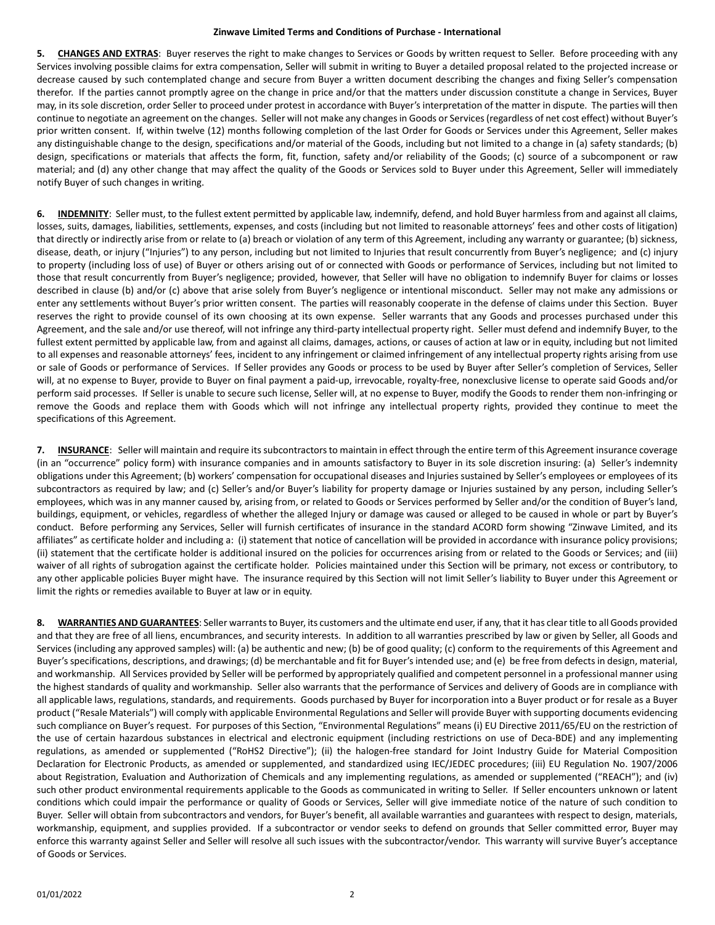**5. CHANGES AND EXTRAS**: Buyer reserves the right to make changes to Services or Goods by written request to Seller. Before proceeding with any Services involving possible claims for extra compensation, Seller will submit in writing to Buyer a detailed proposal related to the projected increase or decrease caused by such contemplated change and secure from Buyer a written document describing the changes and fixing Seller's compensation therefor. If the parties cannot promptly agree on the change in price and/or that the matters under discussion constitute a change in Services, Buyer may, in its sole discretion, order Seller to proceed under protest in accordance with Buyer's interpretation of the matter in dispute. The parties will then continue to negotiate an agreement on the changes. Seller will not make any changes in Goods or Services (regardless of net cost effect) without Buyer's prior written consent. If, within twelve (12) months following completion of the last Order for Goods or Services under this Agreement, Seller makes any distinguishable change to the design, specifications and/or material of the Goods, including but not limited to a change in (a) safety standards; (b) design, specifications or materials that affects the form, fit, function, safety and/or reliability of the Goods; (c) source of a subcomponent or raw material; and (d) any other change that may affect the quality of the Goods or Services sold to Buyer under this Agreement, Seller will immediately notify Buyer of such changes in writing.

**6. INDEMNITY**: Seller must, to the fullest extent permitted by applicable law, indemnify, defend, and hold Buyer harmlessfrom and against all claims, losses, suits, damages, liabilities, settlements, expenses, and costs (including but not limited to reasonable attorneys' fees and other costs of litigation) that directly or indirectly arise from or relate to (a) breach or violation of any term of this Agreement, including any warranty or guarantee; (b) sickness, disease, death, or injury ("Injuries") to any person, including but not limited to Injuries that result concurrently from Buyer's negligence; and (c) injury to property (including loss of use) of Buyer or others arising out of or connected with Goods or performance of Services, including but not limited to those that result concurrently from Buyer's negligence; provided, however, that Seller will have no obligation to indemnify Buyer for claims or losses described in clause (b) and/or (c) above that arise solely from Buyer's negligence or intentional misconduct. Seller may not make any admissions or enter any settlements without Buyer's prior written consent. The parties will reasonably cooperate in the defense of claims under this Section. Buyer reserves the right to provide counsel of its own choosing at its own expense. Seller warrants that any Goods and processes purchased under this Agreement, and the sale and/or use thereof, will not infringe any third-party intellectual property right. Seller must defend and indemnify Buyer, to the fullest extent permitted by applicable law, from and against all claims, damages, actions, or causes of action at law or in equity, including but not limited to all expenses and reasonable attorneys' fees, incident to any infringement or claimed infringement of any intellectual property rights arising from use or sale of Goods or performance of Services. If Seller provides any Goods or process to be used by Buyer after Seller's completion of Services, Seller will, at no expense to Buyer, provide to Buyer on final payment a paid-up, irrevocable, royalty-free, nonexclusive license to operate said Goods and/or perform said processes. If Seller is unable to secure such license, Seller will, at no expense to Buyer, modify the Goods to render them non-infringing or remove the Goods and replace them with Goods which will not infringe any intellectual property rights, provided they continue to meet the specifications of this Agreement.

**7. INSURANCE**: Seller will maintain and require its subcontractors to maintain in effect through the entire term of this Agreement insurance coverage (in an "occurrence" policy form) with insurance companies and in amounts satisfactory to Buyer in its sole discretion insuring: (a) Seller's indemnity obligations under this Agreement; (b) workers' compensation for occupational diseases and Injuries sustained by Seller's employees or employees of its subcontractors as required by law; and (c) Seller's and/or Buyer's liability for property damage or Injuries sustained by any person, including Seller's employees, which was in any manner caused by, arising from, or related to Goods or Services performed by Seller and/or the condition of Buyer's land, buildings, equipment, or vehicles, regardless of whether the alleged Injury or damage was caused or alleged to be caused in whole or part by Buyer's conduct. Before performing any Services, Seller will furnish certificates of insurance in the standard ACORD form showing "Zinwave Limited, and its affiliates" as certificate holder and including a: (i) statement that notice of cancellation will be provided in accordance with insurance policy provisions; (ii) statement that the certificate holder is additional insured on the policies for occurrences arising from or related to the Goods or Services; and (iii) waiver of all rights of subrogation against the certificate holder. Policies maintained under this Section will be primary, not excess or contributory, to any other applicable policies Buyer might have. The insurance required by this Section will not limit Seller's liability to Buyer under this Agreement or limit the rights or remedies available to Buyer at law or in equity.

**8. WARRANTIES AND GUARANTEES**: Seller warrants to Buyer, its customers and the ultimate end user, if any, that it has clear title to all Goods provided and that they are free of all liens, encumbrances, and security interests. In addition to all warranties prescribed by law or given by Seller, all Goods and Services (including any approved samples) will: (a) be authentic and new; (b) be of good quality; (c) conform to the requirements of this Agreement and Buyer's specifications, descriptions, and drawings; (d) be merchantable and fit for Buyer's intended use; and (e) be free from defects in design, material, and workmanship. All Services provided by Seller will be performed by appropriately qualified and competent personnel in a professional manner using the highest standards of quality and workmanship. Seller also warrants that the performance of Services and delivery of Goods are in compliance with all applicable laws, regulations, standards, and requirements. Goods purchased by Buyer for incorporation into a Buyer product or for resale as a Buyer product ("Resale Materials") will comply with applicable Environmental Regulations and Seller will provide Buyer with supporting documents evidencing such compliance on Buyer's request. For purposes of this Section, "Environmental Regulations" means (i) EU Directive 2011/65/EU on the restriction of the use of certain hazardous substances in electrical and electronic equipment (including restrictions on use of Deca-BDE) and any implementing regulations, as amended or supplemented ("RoHS2 Directive"); (ii) the halogen-free standard for Joint Industry Guide for Material Composition Declaration for Electronic Products, as amended or supplemented, and standardized using IEC/JEDEC procedures; (iii) EU Regulation No. 1907/2006 about Registration, Evaluation and Authorization of Chemicals and any implementing regulations, as amended or supplemented ("REACH"); and (iv) such other product environmental requirements applicable to the Goods as communicated in writing to Seller. If Seller encounters unknown or latent conditions which could impair the performance or quality of Goods or Services, Seller will give immediate notice of the nature of such condition to Buyer. Seller will obtain from subcontractors and vendors, for Buyer's benefit, all available warranties and guarantees with respect to design, materials, workmanship, equipment, and supplies provided. If a subcontractor or vendor seeks to defend on grounds that Seller committed error, Buyer may enforce this warranty against Seller and Seller will resolve all such issues with the subcontractor/vendor. This warranty will survive Buyer's acceptance of Goods or Services.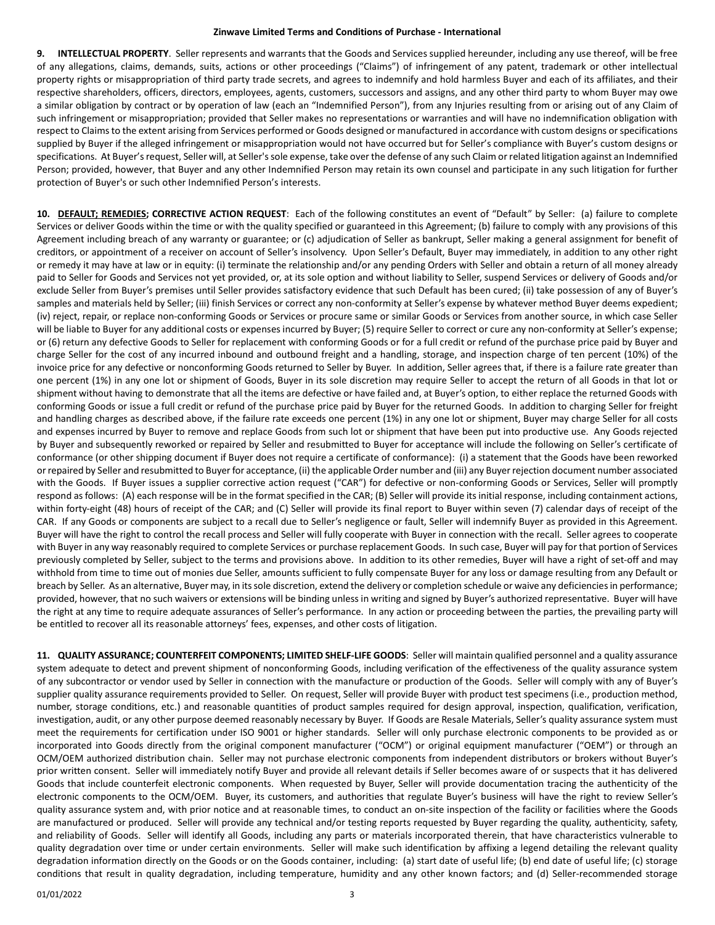**9. INTELLECTUAL PROPERTY**. Seller represents and warrants that the Goods and Services supplied hereunder, including any use thereof, will be free of any allegations, claims, demands, suits, actions or other proceedings ("Claims") of infringement of any patent, trademark or other intellectual property rights or misappropriation of third party trade secrets, and agrees to indemnify and hold harmless Buyer and each of its affiliates, and their respective shareholders, officers, directors, employees, agents, customers, successors and assigns, and any other third party to whom Buyer may owe a similar obligation by contract or by operation of law (each an "Indemnified Person"), from any Injuries resulting from or arising out of any Claim of such infringement or misappropriation; provided that Seller makes no representations or warranties and will have no indemnification obligation with respect to Claims to the extent arising from Services performed or Goods designed or manufactured in accordance with custom designs or specifications supplied by Buyer if the alleged infringement or misappropriation would not have occurred but for Seller's compliance with Buyer's custom designs or specifications. At Buyer's request, Seller will, at Seller's sole expense, take over the defense of any such Claim or related litigation against an Indemnified Person; provided, however, that Buyer and any other Indemnified Person may retain its own counsel and participate in any such litigation for further protection of Buyer's or such other Indemnified Person's interests.

**10. DEFAULT; REMEDIES; CORRECTIVE ACTION REQUEST**: Each of the following constitutes an event of "Default" by Seller: (a) failure to complete Services or deliver Goods within the time or with the quality specified or guaranteed in this Agreement; (b) failure to comply with any provisions of this Agreement including breach of any warranty or guarantee; or (c) adjudication of Seller as bankrupt, Seller making a general assignment for benefit of creditors, or appointment of a receiver on account of Seller's insolvency. Upon Seller's Default, Buyer may immediately, in addition to any other right or remedy it may have at law or in equity: (i) terminate the relationship and/or any pending Orders with Seller and obtain a return of all money already paid to Seller for Goods and Services not yet provided, or, at its sole option and without liability to Seller, suspend Services or delivery of Goods and/or exclude Seller from Buyer's premises until Seller provides satisfactory evidence that such Default has been cured; (ii) take possession of any of Buyer's samples and materials held by Seller; (iii) finish Services or correct any non-conformity at Seller's expense by whatever method Buyer deems expedient; (iv) reject, repair, or replace non-conforming Goods or Services or procure same or similar Goods or Services from another source, in which case Seller will be liable to Buyer for any additional costs or expenses incurred by Buyer; (5) require Seller to correct or cure any non-conformity at Seller's expense; or (6) return any defective Goods to Seller for replacement with conforming Goods or for a full credit or refund of the purchase price paid by Buyer and charge Seller for the cost of any incurred inbound and outbound freight and a handling, storage, and inspection charge of ten percent (10%) of the invoice price for any defective or nonconforming Goods returned to Seller by Buyer. In addition, Seller agrees that, if there is a failure rate greater than one percent (1%) in any one lot or shipment of Goods, Buyer in its sole discretion may require Seller to accept the return of all Goods in that lot or shipment without having to demonstrate that all the items are defective or have failed and, at Buyer's option, to either replace the returned Goods with conforming Goods or issue a full credit or refund of the purchase price paid by Buyer for the returned Goods. In addition to charging Seller for freight and handling charges as described above, if the failure rate exceeds one percent (1%) in any one lot or shipment, Buyer may charge Seller for all costs and expenses incurred by Buyer to remove and replace Goods from such lot or shipment that have been put into productive use. Any Goods rejected by Buyer and subsequently reworked or repaired by Seller and resubmitted to Buyer for acceptance will include the following on Seller's certificate of conformance (or other shipping document if Buyer does not require a certificate of conformance): (i) a statement that the Goods have been reworked or repaired by Seller and resubmitted to Buyer for acceptance, (ii) the applicable Order number and (iii) any Buyer rejection document number associated with the Goods. If Buyer issues a supplier corrective action request ("CAR") for defective or non-conforming Goods or Services, Seller will promptly respond as follows: (A) each response will be in the format specified in the CAR; (B) Seller will provide its initial response, including containment actions, within forty-eight (48) hours of receipt of the CAR; and (C) Seller will provide its final report to Buyer within seven (7) calendar days of receipt of the CAR. If any Goods or components are subject to a recall due to Seller's negligence or fault, Seller will indemnify Buyer as provided in this Agreement. Buyer will have the right to control the recall process and Seller will fully cooperate with Buyer in connection with the recall. Seller agrees to cooperate with Buyer in any way reasonably required to complete Services or purchase replacement Goods. In such case, Buyer will pay for that portion of Services previously completed by Seller, subject to the terms and provisions above. In addition to its other remedies, Buyer will have a right of set-off and may withhold from time to time out of monies due Seller, amounts sufficient to fully compensate Buyer for any loss or damage resulting from any Default or breach by Seller. As an alternative, Buyer may, in its sole discretion, extend the delivery or completion schedule or waive any deficiencies in performance; provided, however, that no such waivers or extensions will be binding unless in writing and signed by Buyer's authorized representative. Buyer will have the right at any time to require adequate assurances of Seller's performance. In any action or proceeding between the parties, the prevailing party will be entitled to recover all its reasonable attorneys' fees, expenses, and other costs of litigation.

**11. QUALITY ASSURANCE; COUNTERFEIT COMPONENTS; LIMITED SHELF-LIFE GOODS**: Seller will maintain qualified personnel and a quality assurance system adequate to detect and prevent shipment of nonconforming Goods, including verification of the effectiveness of the quality assurance system of any subcontractor or vendor used by Seller in connection with the manufacture or production of the Goods. Seller will comply with any of Buyer's supplier quality assurance requirements provided to Seller. On request, Seller will provide Buyer with product test specimens (i.e., production method, number, storage conditions, etc.) and reasonable quantities of product samples required for design approval, inspection, qualification, verification, investigation, audit, or any other purpose deemed reasonably necessary by Buyer. If Goods are Resale Materials, Seller's quality assurance system must meet the requirements for certification under ISO 9001 or higher standards. Seller will only purchase electronic components to be provided as or incorporated into Goods directly from the original component manufacturer ("OCM") or original equipment manufacturer ("OEM") or through an OCM/OEM authorized distribution chain. Seller may not purchase electronic components from independent distributors or brokers without Buyer's prior written consent. Seller will immediately notify Buyer and provide all relevant details if Seller becomes aware of or suspects that it has delivered Goods that include counterfeit electronic components. When requested by Buyer, Seller will provide documentation tracing the authenticity of the electronic components to the OCM/OEM. Buyer, its customers, and authorities that regulate Buyer's business will have the right to review Seller's quality assurance system and, with prior notice and at reasonable times, to conduct an on-site inspection of the facility or facilities where the Goods are manufactured or produced. Seller will provide any technical and/or testing reports requested by Buyer regarding the quality, authenticity, safety, and reliability of Goods. Seller will identify all Goods, including any parts or materials incorporated therein, that have characteristics vulnerable to quality degradation over time or under certain environments. Seller will make such identification by affixing a legend detailing the relevant quality degradation information directly on the Goods or on the Goods container, including: (a) start date of useful life; (b) end date of useful life; (c) storage conditions that result in quality degradation, including temperature, humidity and any other known factors; and (d) Seller-recommended storage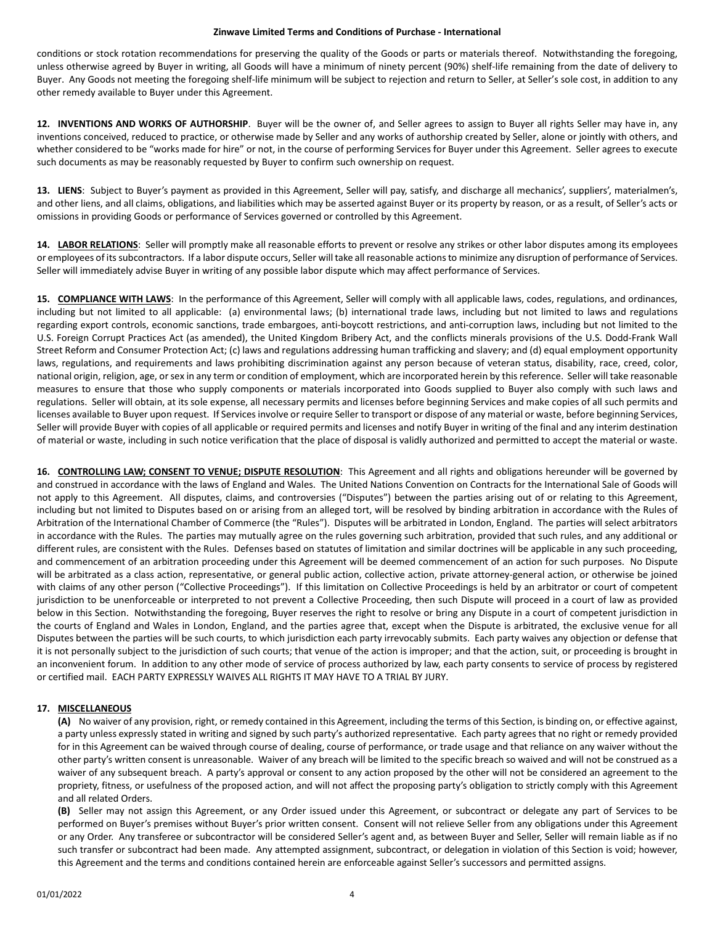conditions or stock rotation recommendations for preserving the quality of the Goods or parts or materials thereof. Notwithstanding the foregoing, unless otherwise agreed by Buyer in writing, all Goods will have a minimum of ninety percent (90%) shelf-life remaining from the date of delivery to Buyer. Any Goods not meeting the foregoing shelf-life minimum will be subject to rejection and return to Seller, at Seller's sole cost, in addition to any other remedy available to Buyer under this Agreement.

**12. INVENTIONS AND WORKS OF AUTHORSHIP**. Buyer will be the owner of, and Seller agrees to assign to Buyer all rights Seller may have in, any inventions conceived, reduced to practice, or otherwise made by Seller and any works of authorship created by Seller, alone or jointly with others, and whether considered to be "works made for hire" or not, in the course of performing Services for Buyer under this Agreement. Seller agrees to execute such documents as may be reasonably requested by Buyer to confirm such ownership on request.

**13. LIENS**: Subject to Buyer's payment as provided in this Agreement, Seller will pay, satisfy, and discharge all mechanics', suppliers', materialmen's, and other liens, and all claims, obligations, and liabilities which may be asserted against Buyer or its property by reason, or as a result, of Seller's acts or omissions in providing Goods or performance of Services governed or controlled by this Agreement.

**14. LABOR RELATIONS**: Seller will promptly make all reasonable efforts to prevent or resolve any strikes or other labor disputes among its employees or employees of its subcontractors. If a labor dispute occurs, Seller will take all reasonable actions to minimize any disruption of performance of Services. Seller will immediately advise Buyer in writing of any possible labor dispute which may affect performance of Services.

**15. COMPLIANCE WITH LAWS**: In the performance of this Agreement, Seller will comply with all applicable laws, codes, regulations, and ordinances, including but not limited to all applicable: (a) environmental laws; (b) international trade laws, including but not limited to laws and regulations regarding export controls, economic sanctions, trade embargoes, anti-boycott restrictions, and anti-corruption laws, including but not limited to the U.S. Foreign Corrupt Practices Act (as amended), the United Kingdom Bribery Act, and the conflicts minerals provisions of the U.S. Dodd-Frank Wall Street Reform and Consumer Protection Act; (c) laws and regulations addressing human trafficking and slavery; and (d) equal employment opportunity laws, regulations, and requirements and laws prohibiting discrimination against any person because of veteran status, disability, race, creed, color, national origin, religion, age, or sex in any term or condition of employment, which are incorporated herein by this reference. Seller will take reasonable measures to ensure that those who supply components or materials incorporated into Goods supplied to Buyer also comply with such laws and regulations. Seller will obtain, at its sole expense, all necessary permits and licenses before beginning Services and make copies of all such permits and licenses available to Buyer upon request. If Services involve or require Seller to transport or dispose of any material or waste, before beginning Services, Seller will provide Buyer with copies of all applicable or required permits and licenses and notify Buyer in writing of the final and any interim destination of material or waste, including in such notice verification that the place of disposal is validly authorized and permitted to accept the material or waste.

**16. CONTROLLING LAW; CONSENT TO VENUE; DISPUTE RESOLUTION**: This Agreement and all rights and obligations hereunder will be governed by and construed in accordance with the laws of England and Wales. The United Nations Convention on Contracts for the International Sale of Goods will not apply to this Agreement. All disputes, claims, and controversies ("Disputes") between the parties arising out of or relating to this Agreement, including but not limited to Disputes based on or arising from an alleged tort, will be resolved by binding arbitration in accordance with the Rules of Arbitration of the International Chamber of Commerce (the "Rules"). Disputes will be arbitrated in London, England. The parties will select arbitrators in accordance with the Rules. The parties may mutually agree on the rules governing such arbitration, provided that such rules, and any additional or different rules, are consistent with the Rules. Defenses based on statutes of limitation and similar doctrines will be applicable in any such proceeding, and commencement of an arbitration proceeding under this Agreement will be deemed commencement of an action for such purposes. No Dispute will be arbitrated as a class action, representative, or general public action, collective action, private attorney-general action, or otherwise be joined with claims of any other person ("Collective Proceedings"). If this limitation on Collective Proceedings is held by an arbitrator or court of competent jurisdiction to be unenforceable or interpreted to not prevent a Collective Proceeding, then such Dispute will proceed in a court of law as provided below in this Section. Notwithstanding the foregoing, Buyer reserves the right to resolve or bring any Dispute in a court of competent jurisdiction in the courts of England and Wales in London, England, and the parties agree that, except when the Dispute is arbitrated, the exclusive venue for all Disputes between the parties will be such courts, to which jurisdiction each party irrevocably submits. Each party waives any objection or defense that it is not personally subject to the jurisdiction of such courts; that venue of the action is improper; and that the action, suit, or proceeding is brought in an inconvenient forum. In addition to any other mode of service of process authorized by law, each party consents to service of process by registered or certified mail. EACH PARTY EXPRESSLY WAIVES ALL RIGHTS IT MAY HAVE TO A TRIAL BY JURY.

# **17. MISCELLANEOUS**

**(A)** No waiver of any provision, right, or remedy contained in this Agreement, including the terms of this Section, is binding on, or effective against, a party unless expressly stated in writing and signed by such party's authorized representative. Each party agrees that no right or remedy provided for in this Agreement can be waived through course of dealing, course of performance, or trade usage and that reliance on any waiver without the other party's written consent is unreasonable. Waiver of any breach will be limited to the specific breach so waived and will not be construed as a waiver of any subsequent breach. A party's approval or consent to any action proposed by the other will not be considered an agreement to the propriety, fitness, or usefulness of the proposed action, and will not affect the proposing party's obligation to strictly comply with this Agreement and all related Orders.

**(B)** Seller may not assign this Agreement, or any Order issued under this Agreement, or subcontract or delegate any part of Services to be performed on Buyer's premises without Buyer's prior written consent. Consent will not relieve Seller from any obligations under this Agreement or any Order. Any transferee or subcontractor will be considered Seller's agent and, as between Buyer and Seller, Seller will remain liable as if no such transfer or subcontract had been made. Any attempted assignment, subcontract, or delegation in violation of this Section is void; however, this Agreement and the terms and conditions contained herein are enforceable against Seller's successors and permitted assigns.